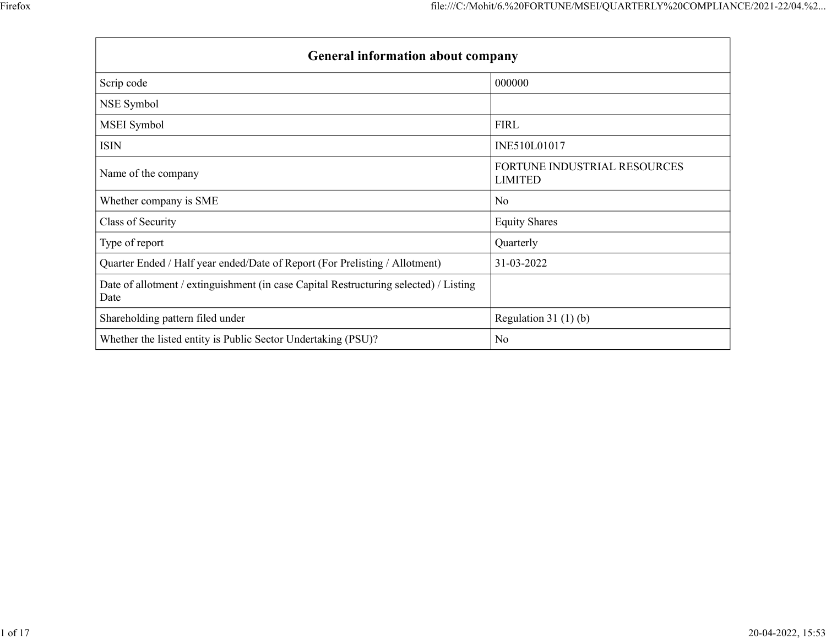|                                                                                               | file:///C:/Mohit/6.%20FORTUNE/MSEI/QUARTERLY%20COMPLIANCE/2021-22/04.%2 |
|-----------------------------------------------------------------------------------------------|-------------------------------------------------------------------------|
|                                                                                               |                                                                         |
| General information about company                                                             |                                                                         |
|                                                                                               |                                                                         |
| Scrip code                                                                                    | 000000                                                                  |
| NSE Symbol                                                                                    |                                                                         |
| MSEI Symbol                                                                                   | <b>FIRL</b>                                                             |
| <b>ISIN</b>                                                                                   | INE510L01017                                                            |
| Name of the company                                                                           | FORTUNE INDUSTRIAL RESOURCES<br><b>LIMITED</b>                          |
| Whether company is SME                                                                        | No                                                                      |
| Class of Security                                                                             | <b>Equity Shares</b>                                                    |
| Type of report                                                                                | Quarterly                                                               |
|                                                                                               | 31-03-2022                                                              |
| Quarter Ended / Half year ended/Date of Report (For Prelisting / Allotment)                   |                                                                         |
| Date of allotment / extinguishment (in case Capital Restructuring selected) / Listing<br>Date |                                                                         |
| Shareholding pattern filed under                                                              | Regulation 31 $(1)(b)$                                                  |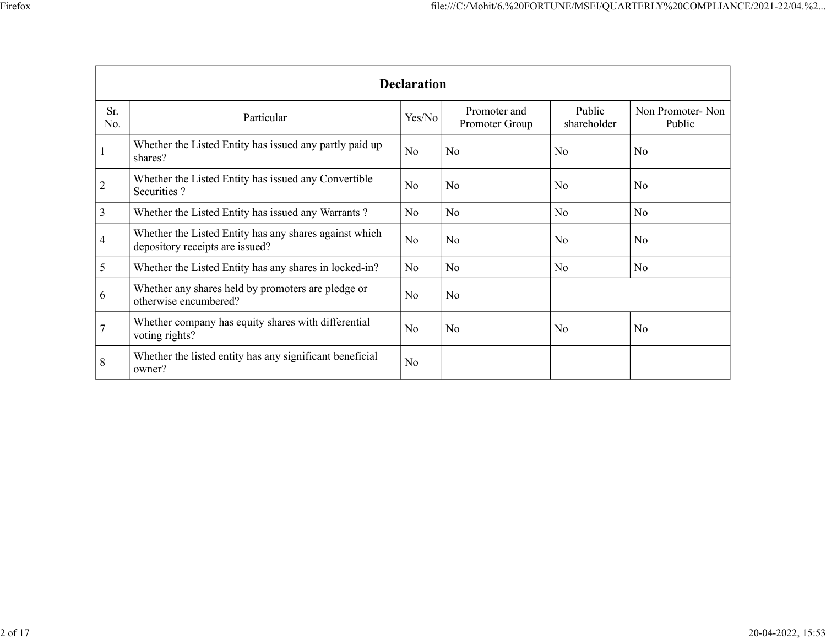|                                                                                              |                                                                                           |          | file:///C:/Mohit/6.%20FORTUNE/MSEI/QUARTERLY%20COMPLIANCE/2021-22/04.%2 |                       |                            |  |  |  |  |  |
|----------------------------------------------------------------------------------------------|-------------------------------------------------------------------------------------------|----------|-------------------------------------------------------------------------|-----------------------|----------------------------|--|--|--|--|--|
| <b>Declaration</b>                                                                           |                                                                                           |          |                                                                         |                       |                            |  |  |  |  |  |
| Sr.<br>No.                                                                                   | Particular                                                                                | Yes/No   | Promoter and<br>Promoter Group                                          | Public<br>shareholder | Non Promoter-Non<br>Public |  |  |  |  |  |
|                                                                                              | Whether the Listed Entity has issued any partly paid up<br>shares?                        | No       | No                                                                      | No                    | No                         |  |  |  |  |  |
|                                                                                              |                                                                                           |          |                                                                         |                       |                            |  |  |  |  |  |
|                                                                                              | Whether the Listed Entity has issued any Convertible<br>Securities ?                      | No       | No                                                                      | No                    | No                         |  |  |  |  |  |
|                                                                                              | Whether the Listed Entity has issued any Warrants?                                        | $\rm No$ | No                                                                      | $\rm No$              | No                         |  |  |  |  |  |
|                                                                                              | Whether the Listed Entity has any shares against which<br>depository receipts are issued? | $\rm No$ | $\overline{\text{No}}$                                                  | No                    | No                         |  |  |  |  |  |
|                                                                                              | Whether the Listed Entity has any shares in locked-in?                                    | $\rm No$ | No                                                                      | $\rm No$              | No                         |  |  |  |  |  |
|                                                                                              | Whether any shares held by promoters are pledge or<br>otherwise encumbered?               | No       | $\overline{\text{No}}$                                                  |                       |                            |  |  |  |  |  |
| $\overline{2}$<br>$\overline{3}$<br>$\overline{4}$<br>$5\overline{)}$<br>6<br>$\overline{7}$ | Whether company has equity shares with differential<br>voting rights?                     | No       | No                                                                      | $\rm No$              | No                         |  |  |  |  |  |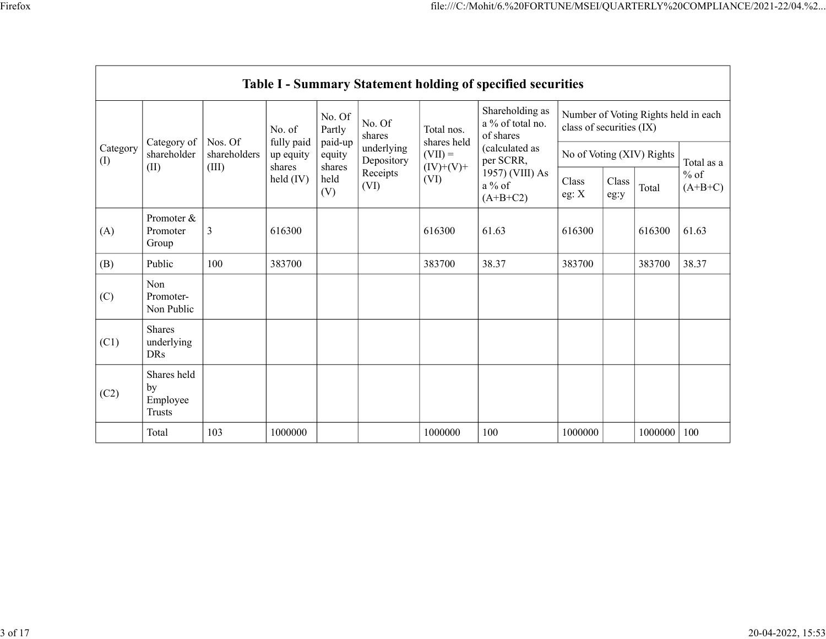|                 |                                                       |                              |                                 |                   |                                    |                                                      | file:///C:/Mohit/6.%20FORTUNE/MSEI/QUARTERLY%20COMPLIANCE/2021-22/04.%2 |                           |       |                      |               |
|-----------------|-------------------------------------------------------|------------------------------|---------------------------------|-------------------|------------------------------------|------------------------------------------------------|-------------------------------------------------------------------------|---------------------------|-------|----------------------|---------------|
|                 |                                                       |                              |                                 |                   |                                    |                                                      |                                                                         |                           |       |                      |               |
|                 |                                                       |                              |                                 |                   |                                    |                                                      |                                                                         |                           |       |                      |               |
|                 |                                                       |                              |                                 |                   |                                    |                                                      |                                                                         |                           |       |                      |               |
|                 |                                                       |                              |                                 |                   |                                    |                                                      |                                                                         |                           |       |                      |               |
|                 |                                                       |                              |                                 |                   |                                    |                                                      |                                                                         |                           |       |                      |               |
|                 |                                                       |                              |                                 |                   |                                    |                                                      |                                                                         |                           |       |                      |               |
|                 |                                                       |                              |                                 |                   |                                    |                                                      |                                                                         |                           |       |                      |               |
|                 |                                                       |                              |                                 |                   |                                    |                                                      |                                                                         |                           |       |                      |               |
|                 |                                                       |                              |                                 |                   |                                    |                                                      | Table I - Summary Statement holding of specified securities             |                           |       |                      |               |
|                 |                                                       | No. of                       | No. Of<br>Partly                | No. Of            | Total nos.                         | Shareholding as<br>a $\%$ of total no.               | Number of Voting Rights held in each<br>class of securities (IX)        |                           |       |                      |               |
| Category<br>(I) | Category of   Nos. Of<br>shareholder<br>(III)<br>(II) | shareholders                 | fully paid $\vert$<br>up equity | paid-up<br>equity | shares<br>underlying<br>Depository | shares held<br>$(VII) =$                             | of shares<br>(calculated as                                             | No of Voting (XIV) Rights |       |                      | Total as a    |
|                 |                                                       | shares<br>$\text{held (IV)}$ | shares<br>held<br>(V)           | Receipts<br>(VI)  | $(IV)+(V)+$<br>(VI)                | per SCRR,<br>1957) (VIII) As<br>a % of<br>$(A+B+C2)$ | Class<br>eg: $\mathbf{X}$                                               | Class<br>eg:y             | Total | $\%$ of<br>$(A+B+C)$ |               |
| (A)             | Promoter &<br>Promoter<br>Group                       | $\vert 3 \vert$              | 616300                          |                   |                                    | 616300                                               | 61.63                                                                   | 616300                    |       | 616300 61.63         |               |
| (B)             | Public                                                | 100                          | 383700                          |                   |                                    | 383700                                               | 38.37                                                                   | 383700                    |       | 383700               | 38.37         |
| (C)             | Non<br>Promoter-<br>Non Public                        |                              |                                 |                   |                                    |                                                      |                                                                         |                           |       |                      |               |
| (C1)            | Shares<br>underlying<br><b>DRs</b>                    |                              |                                 |                   |                                    |                                                      |                                                                         |                           |       |                      |               |
|                 | Shares held<br>by                                     |                              |                                 |                   |                                    |                                                      |                                                                         |                           |       |                      |               |
| (C2)            | Employee<br>Trusts                                    |                              |                                 |                   |                                    | 1000000                                              | 100                                                                     | 1000000                   |       |                      | 1000000   100 |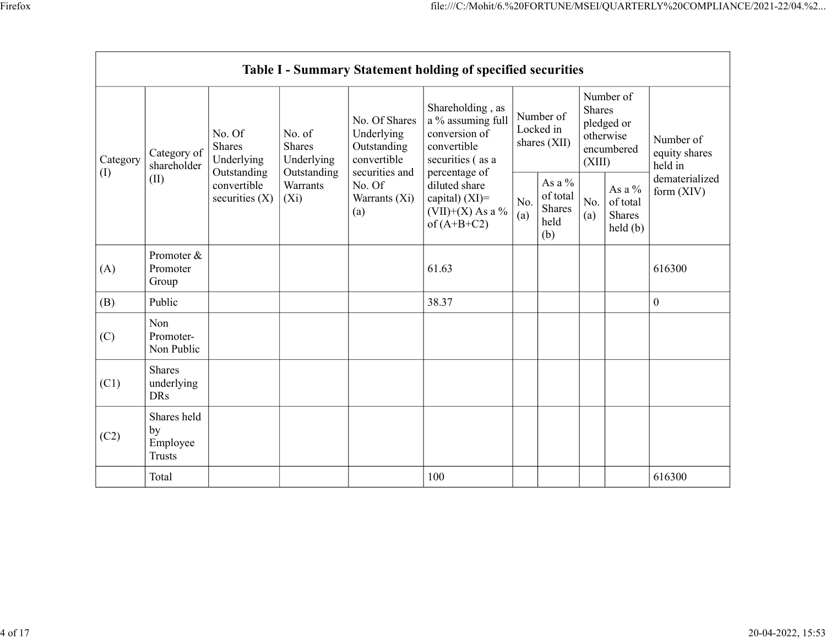|           |                                         |                                                                                        |                                                           |                                                           | file:///C:/Mohit/6.%20FORTUNE/MSEI/QUARTERLY%20COMPLIANCE/2021-22/04.%2<br>Table I - Summary Statement holding of specified securities                                           |                                        |                                         |                                                           | Number of                                                                                                                                    |                                       |
|-----------|-----------------------------------------|----------------------------------------------------------------------------------------|-----------------------------------------------------------|-----------------------------------------------------------|----------------------------------------------------------------------------------------------------------------------------------------------------------------------------------|----------------------------------------|-----------------------------------------|-----------------------------------------------------------|----------------------------------------------------------------------------------------------------------------------------------------------|---------------------------------------|
| Category  | Category of<br>shareholder              | No. Of<br>Shares<br>Underlying<br>Outstanding<br>convertible<br>securities (X) $ (Xi)$ | No. of<br>Shares<br>Underlying<br>Outstanding<br>Warrants | No. Of Shares<br>Underlying<br>Outstanding<br>convertible | Shareholding, as<br>a % assuming full<br>conversion of<br>convertible<br>securities (as a<br>percentage of<br>diluted share<br>capital) (XI)=<br>(VII)+(X) As a %<br>of (A+B+C2) | Number of<br>Locked in<br>shares (XII) |                                         | Shares<br>pledged or<br>otherwise<br>encumbered<br>(XIII) |                                                                                                                                              | Number of<br>equity shares<br>held in |
| $\rm (I)$ | (II)                                    |                                                                                        |                                                           | securities and<br>No. Of<br>Warrants (Xi)<br>(a)          |                                                                                                                                                                                  | (b)                                    | As a $\%$<br>of total<br>Shares<br>held | (a)                                                       | As a $\%$<br>$\begin{array}{ c c } \hline \text{No.} & \text{of total} \\ \hline \text{(a)} & \text{Shares} \\\hline \end{array}$<br>held(b) | dematerialized<br>form $(XIV)$        |
| (A)       | Promoter &<br>Promoter<br>Group         |                                                                                        |                                                           |                                                           | 61.63                                                                                                                                                                            |                                        |                                         |                                                           |                                                                                                                                              | 616300                                |
| (B)       | Public                                  |                                                                                        |                                                           |                                                           | 38.37                                                                                                                                                                            |                                        |                                         |                                                           |                                                                                                                                              | $\mathbf{0}$                          |
| (C)       | Non<br>Promoter-<br>Non Public          |                                                                                        |                                                           |                                                           |                                                                                                                                                                                  |                                        |                                         |                                                           |                                                                                                                                              |                                       |
| (C1)      | Shares<br>underlying<br>DRs             |                                                                                        |                                                           |                                                           |                                                                                                                                                                                  |                                        |                                         |                                                           |                                                                                                                                              |                                       |
| (C2)      | Shares held<br>by<br>Employee<br>Trusts |                                                                                        |                                                           |                                                           |                                                                                                                                                                                  |                                        |                                         |                                                           |                                                                                                                                              |                                       |
|           | Total                                   |                                                                                        |                                                           |                                                           | $100\,$                                                                                                                                                                          |                                        |                                         |                                                           |                                                                                                                                              | 616300                                |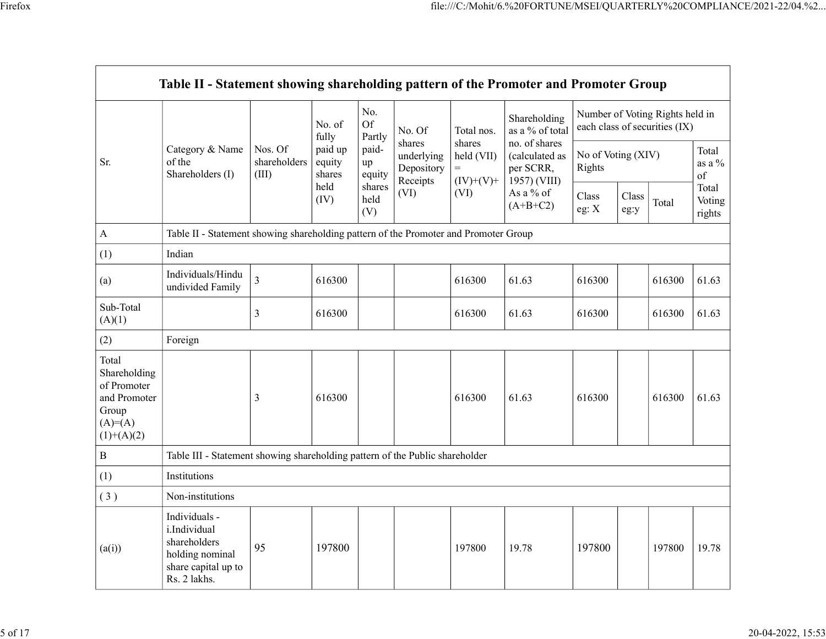|                                                                                            |                                                                                                         |                       |                  |                                                    |                                              |                                           | file:///C:/Mohit/6.%20FORTUNE/MSEI/QUARTERLY%20COMPLIANCE/2021-22/04.%2         |                                                                                                        |          |           |                  |
|--------------------------------------------------------------------------------------------|---------------------------------------------------------------------------------------------------------|-----------------------|------------------|----------------------------------------------------|----------------------------------------------|-------------------------------------------|---------------------------------------------------------------------------------|--------------------------------------------------------------------------------------------------------|----------|-----------|------------------|
|                                                                                            |                                                                                                         |                       |                  |                                                    |                                              |                                           |                                                                                 |                                                                                                        |          |           |                  |
|                                                                                            |                                                                                                         |                       |                  |                                                    |                                              |                                           |                                                                                 |                                                                                                        |          |           |                  |
|                                                                                            |                                                                                                         |                       |                  |                                                    |                                              |                                           |                                                                                 |                                                                                                        |          |           |                  |
|                                                                                            | Table II - Statement showing shareholding pattern of the Promoter and Promoter Group                    |                       |                  |                                                    |                                              |                                           |                                                                                 |                                                                                                        |          |           |                  |
|                                                                                            |                                                                                                         |                       |                  |                                                    |                                              |                                           |                                                                                 |                                                                                                        |          |           |                  |
|                                                                                            |                                                                                                         |                       | No. of           | No.<br>Of                                          | No. Of<br>shares<br>underlying<br>Depository | Total nos.<br>shares<br>held (VII)<br>$=$ | Shareholding<br>as a % of total<br>no. of shares<br>(calculated as<br>per SCRR, | Number of Voting Rights held in<br>each class of securities (IX)<br>No of Voting (XIV)<br>Rights<br>of |          |           |                  |
|                                                                                            | Category & Name                                                                                         | Nos. Of               | fully<br>paid up | Partly<br>paid-                                    |                                              |                                           |                                                                                 |                                                                                                        |          | Total     |                  |
| Sr.                                                                                        | of the<br>Shareholders (I)                                                                              | shareholders<br>(III) | equity<br>shares | up<br>equity<br>Receipts<br>shares<br>(VI)<br>held |                                              |                                           |                                                                                 |                                                                                                        |          | as a $\%$ |                  |
|                                                                                            |                                                                                                         |                       | held<br>(IV)     |                                                    | $(IV)+(V)+$<br>(VI)                          | 1957) (VIII)<br>As a % of                 | Class                                                                           | Class                                                                                                  |          | Total     |                  |
|                                                                                            |                                                                                                         |                       |                  | (V)                                                |                                              |                                           | $(A+B+C2)$                                                                      | eg: $\mathbf{X}$                                                                                       | $\log y$ | Total     | Voting<br>rights |
| A                                                                                          | Table II - Statement showing shareholding pattern of the Promoter and Promoter Group                    |                       |                  |                                                    |                                              |                                           |                                                                                 |                                                                                                        |          |           |                  |
| (1)                                                                                        | Indian                                                                                                  |                       |                  |                                                    |                                              |                                           |                                                                                 |                                                                                                        |          |           |                  |
| (a)                                                                                        | Individuals/Hindu<br>undivided Family                                                                   | $\vert$ 3             | 616300           |                                                    |                                              | 616300                                    | 61.63                                                                           | 616300                                                                                                 |          | 616300    | 61.63            |
| Sub-Total<br>(A)(1)                                                                        |                                                                                                         | 3                     | 616300           |                                                    |                                              | 616300                                    | 61.63                                                                           | 616300                                                                                                 |          | 616300    | 61.63            |
| (2)                                                                                        | Foreign                                                                                                 |                       |                  |                                                    |                                              |                                           |                                                                                 |                                                                                                        |          |           |                  |
| Total<br>Shareholding<br>of Promoter<br>and Promoter<br>Group<br>$(A)=(A)$<br>$(1)+(A)(2)$ |                                                                                                         | 3                     | 616300           |                                                    |                                              | 616300                                    | 61.63                                                                           | 616300                                                                                                 |          | 616300    | 61.63            |
| $\, {\bf B}$                                                                               | Table III - Statement showing shareholding pattern of the Public shareholder                            |                       |                  |                                                    |                                              |                                           |                                                                                 |                                                                                                        |          |           |                  |
| (1)                                                                                        | Institutions                                                                                            |                       |                  |                                                    |                                              |                                           |                                                                                 |                                                                                                        |          |           |                  |
| (3)                                                                                        | Non-institutions                                                                                        |                       |                  |                                                    |                                              |                                           |                                                                                 |                                                                                                        |          |           |                  |
| (a(i))                                                                                     | Individuals -<br>i.Individual<br>shareholders<br>holding nominal<br>share capital up to<br>Rs. 2 lakhs. | $\vert$ 95            | 197800           |                                                    |                                              | 197800                                    | 19.78                                                                           | 197800                                                                                                 |          | 197800    | 19.78            |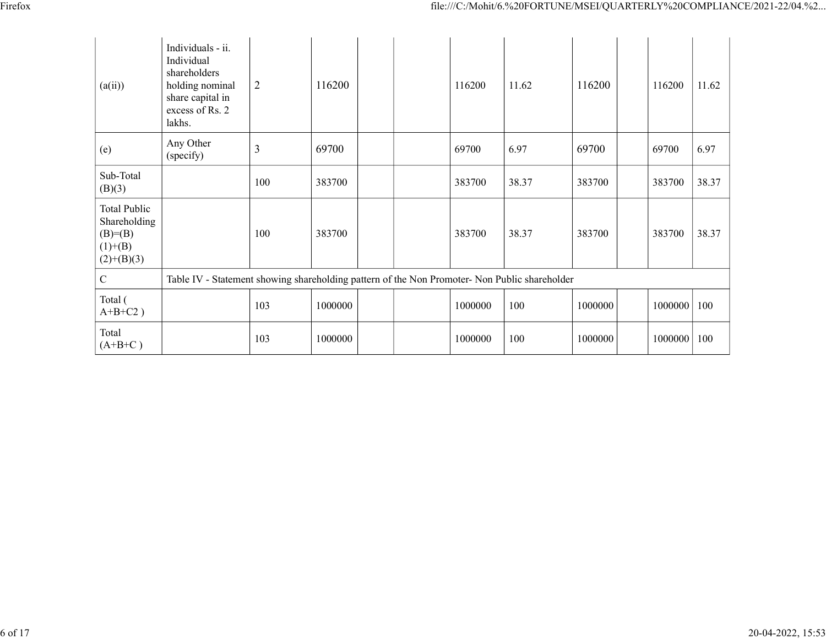|                                         |                                                                                                                     |                |         |         |                                                                                               | file:///C:/Mohit/6.%20FORTUNE/MSEI/QUARTERLY%20COMPLIANCE/2021-22/04.%2 |               |                                            |  |  |  |  |  |  |
|-----------------------------------------|---------------------------------------------------------------------------------------------------------------------|----------------|---------|---------|-----------------------------------------------------------------------------------------------|-------------------------------------------------------------------------|---------------|--------------------------------------------|--|--|--|--|--|--|
|                                         |                                                                                                                     |                |         |         |                                                                                               |                                                                         |               |                                            |  |  |  |  |  |  |
| (a(ii))                                 | Individuals - ii.<br>Individual<br>shareholders<br>holding nominal<br>share capital in<br>excess of Rs. 2<br>lakhs. | $\overline{2}$ | 116200  | 116200  | 11.62                                                                                         | 116200                                                                  | 116200        | $11.62$                                    |  |  |  |  |  |  |
| (e)                                     | Any Other<br>(specify)                                                                                              | $\overline{3}$ | 69700   | 69700   | 6.97                                                                                          | 69700                                                                   | 69700         | 6.97                                       |  |  |  |  |  |  |
| Sub-Total<br>(B)(3)                     |                                                                                                                     | 100            | 383700  | 383700  | 38.37                                                                                         | 383700                                                                  | 383700        | 38.37                                      |  |  |  |  |  |  |
| Total Public<br>Shareholding            |                                                                                                                     | $100\,$        | 383700  | 383700  | 38.37                                                                                         | 383700                                                                  | 383700        | $\begin{array}{ c c }\n38.37\n\end{array}$ |  |  |  |  |  |  |
| $(B)= (B)$<br>$(1)+(B)$<br>$(2)+(B)(3)$ |                                                                                                                     |                |         |         | Table IV - Statement showing shareholding pattern of the Non Promoter- Non Public shareholder |                                                                         |               |                                            |  |  |  |  |  |  |
| $\mathbf C$                             |                                                                                                                     |                |         |         |                                                                                               |                                                                         |               |                                            |  |  |  |  |  |  |
| Total (<br>$A+B+C2$ )                   |                                                                                                                     | 103            | 1000000 | 1000000 | 100                                                                                           | 1000000                                                                 | $1000000$ 100 |                                            |  |  |  |  |  |  |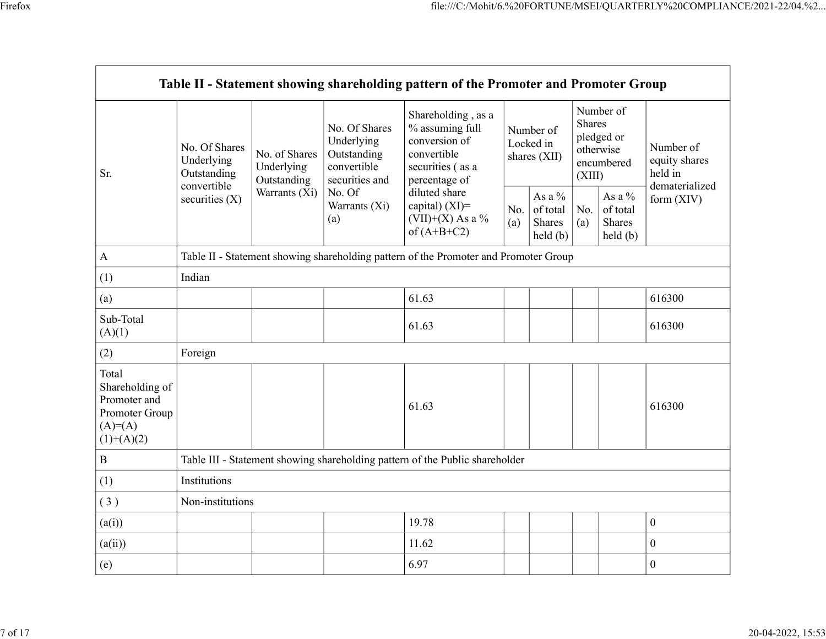|                                                                                         | Table II - Statement showing shareholding pattern of the Promoter and Promoter Group |                                                                              |                                                                             |                                                                                                            |                                        |                                                                                     |                                                           | Number of                                                  |                                                         |  |
|-----------------------------------------------------------------------------------------|--------------------------------------------------------------------------------------|------------------------------------------------------------------------------|-----------------------------------------------------------------------------|------------------------------------------------------------------------------------------------------------|----------------------------------------|-------------------------------------------------------------------------------------|-----------------------------------------------------------|------------------------------------------------------------|---------------------------------------------------------|--|
| Sr.                                                                                     | No. Of Shares<br>Underlying<br>Outstanding<br>convertible                            | No. of Shares<br>Underlying<br>Outstanding<br>Warrants $(X_i)$ No. Of<br>(a) | No. Of Shares<br>Underlying<br>Outstanding<br>convertible<br>securities and | Shareholding, as a<br>% assuming full<br>conversion of<br>convertible<br>securities (as a<br>percentage of | Number of<br>Locked in<br>shares (XII) |                                                                                     | Shares<br>pledged or<br>otherwise<br>encumbered<br>(XIII) |                                                            | Number of<br>equity shares<br>held in<br>dematerialized |  |
|                                                                                         | securities (X)                                                                       |                                                                              | Warrants (Xi)                                                               | diluted share<br>capital) (XI)=<br>$(VII)+(X)$ As a %<br>of $(A+B+C2)$                                     | (a)                                    | As a $\%$<br>$\vert$ No. $\vert$ of total $\vert$ No. $\vert$<br>Shares<br>held (b) | (a)                                                       | As a $\%$<br>of total<br>Shares<br>$\text{held}(\text{b})$ | form (XIV)                                              |  |
| $\bf{A}$                                                                                |                                                                                      |                                                                              |                                                                             | Table II - Statement showing shareholding pattern of the Promoter and Promoter Group                       |                                        |                                                                                     |                                                           |                                                            |                                                         |  |
| (1)                                                                                     | Indian                                                                               |                                                                              |                                                                             |                                                                                                            |                                        |                                                                                     |                                                           |                                                            |                                                         |  |
| (a)                                                                                     |                                                                                      |                                                                              |                                                                             | 61.63                                                                                                      |                                        |                                                                                     |                                                           |                                                            | 616300                                                  |  |
| Sub-Total<br>(A)(1)                                                                     |                                                                                      |                                                                              |                                                                             | 61.63                                                                                                      |                                        |                                                                                     |                                                           |                                                            | 616300                                                  |  |
| (2)                                                                                     | Foreign                                                                              |                                                                              |                                                                             |                                                                                                            |                                        |                                                                                     |                                                           |                                                            |                                                         |  |
| Total<br>Shareholding of<br>Promoter and<br>Promoter Group<br>$(A)=(A)$<br>$(1)+(A)(2)$ |                                                                                      |                                                                              |                                                                             | 61.63                                                                                                      |                                        |                                                                                     |                                                           |                                                            | 616300                                                  |  |
| $\, {\bf B}$                                                                            |                                                                                      |                                                                              |                                                                             | Table III - Statement showing shareholding pattern of the Public shareholder                               |                                        |                                                                                     |                                                           |                                                            |                                                         |  |
| (1)                                                                                     | Institutions                                                                         |                                                                              |                                                                             |                                                                                                            |                                        |                                                                                     |                                                           |                                                            |                                                         |  |
| (3)                                                                                     | Non-institutions                                                                     |                                                                              |                                                                             |                                                                                                            |                                        |                                                                                     |                                                           |                                                            |                                                         |  |
|                                                                                         |                                                                                      |                                                                              |                                                                             |                                                                                                            |                                        |                                                                                     |                                                           |                                                            |                                                         |  |
| (a(i))                                                                                  |                                                                                      |                                                                              |                                                                             | 19.78                                                                                                      |                                        |                                                                                     |                                                           |                                                            | $\mathbf{0}$                                            |  |
|                                                                                         |                                                                                      |                                                                              |                                                                             | 11.62                                                                                                      |                                        |                                                                                     |                                                           |                                                            | $\boldsymbol{0}$                                        |  |
| (a(ii))<br>(e)                                                                          |                                                                                      |                                                                              |                                                                             | 6.97                                                                                                       |                                        |                                                                                     |                                                           |                                                            | $\boldsymbol{0}$                                        |  |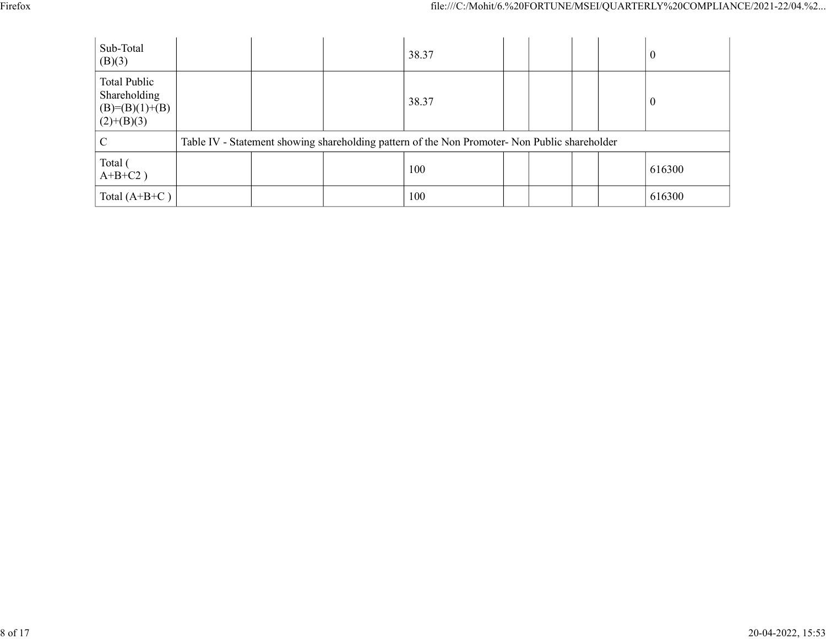|                                                  |                                                                                               | file:///C:/Mohit/6.%20FORTUNE/MSEI/QUARTERLY%20COMPLIANCE/2021-22/04.%2 |  |
|--------------------------------------------------|-----------------------------------------------------------------------------------------------|-------------------------------------------------------------------------|--|
|                                                  |                                                                                               |                                                                         |  |
| Sub-Total<br>(B)(3)                              | 38.37                                                                                         | $\mathbf{0}$                                                            |  |
| Total Public<br>Shareholding<br>$(B)=(B)(1)+(B)$ | 38.37                                                                                         | $\boldsymbol{0}$                                                        |  |
| $(2)+(B)(3)$<br>$\mathbf C$                      | Table IV - Statement showing shareholding pattern of the Non Promoter- Non Public shareholder |                                                                         |  |
| Total (<br>$A+B+C2$ )                            | 100                                                                                           | 616300                                                                  |  |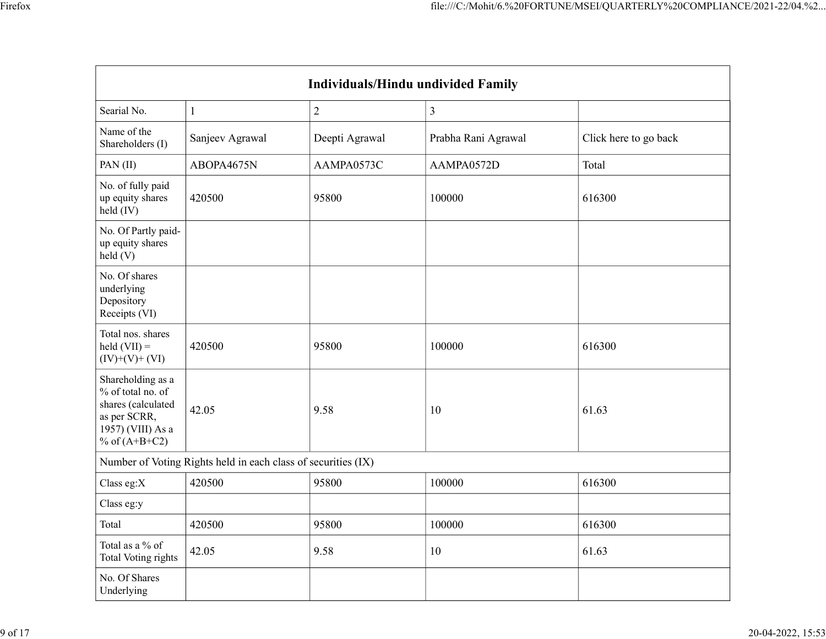|                                                                                                                           |                                                               |                |                                    | file:///C:/Mohit/6.%20FORTUNE/MSEI/QUARTERLY%20COMPLIANCE/2021-22/04.%2 |
|---------------------------------------------------------------------------------------------------------------------------|---------------------------------------------------------------|----------------|------------------------------------|-------------------------------------------------------------------------|
|                                                                                                                           |                                                               |                |                                    |                                                                         |
|                                                                                                                           |                                                               |                |                                    |                                                                         |
|                                                                                                                           |                                                               |                |                                    |                                                                         |
|                                                                                                                           |                                                               |                | Individuals/Hindu undivided Family |                                                                         |
| Searial No.                                                                                                               |                                                               | $\overline{2}$ | $\mathfrak{Z}$                     |                                                                         |
| Name of the<br>Shareholders (I)                                                                                           | Sanjeev Agrawal                                               | Deepti Agrawal | Prabha Rani Agrawal                | Click here to go back                                                   |
| PAN(II)                                                                                                                   | ABOPA4675N                                                    | AAMPA0573C     | AAMPA0572D                         | Total                                                                   |
| No. of fully paid<br>up equity shares<br>held (IV)                                                                        | 420500                                                        | 95800          | 100000                             | 616300                                                                  |
| No. Of Partly paid-<br>up equity shares<br>$\text{held}(V)$                                                               |                                                               |                |                                    |                                                                         |
| No. Of shares<br>underlying<br>Depository<br>Receipts (VI)                                                                |                                                               |                |                                    |                                                                         |
| Total nos. shares<br>$\text{held (VII)} =$<br>$(IV)+(V)+(VI)$                                                             | 420500                                                        | 95800          | 100000                             | 616300                                                                  |
| Shareholding as a<br>$%$ of total no. of<br>shares (calculated<br>as per SCRR,<br>$1957$ ) (VIII) As a<br>% of $(A+B+C2)$ | 42.05                                                         | 9.58           | 10                                 | 61.63                                                                   |
|                                                                                                                           | Number of Voting Rights held in each class of securities (IX) |                |                                    |                                                                         |
| Class eg: $X$                                                                                                             | 420500                                                        | 95800          | 100000                             | 616300                                                                  |
| Class eg:y                                                                                                                |                                                               |                |                                    |                                                                         |
| Total                                                                                                                     | 420500                                                        | 95800          | 100000                             | 616300                                                                  |
| Total as a $\%$ of<br>Total Voting rights                                                                                 | 42.05                                                         | 9.58           | $10\,$                             | 61.63                                                                   |
| No. Of Shares<br>Underlying                                                                                               |                                                               |                |                                    |                                                                         |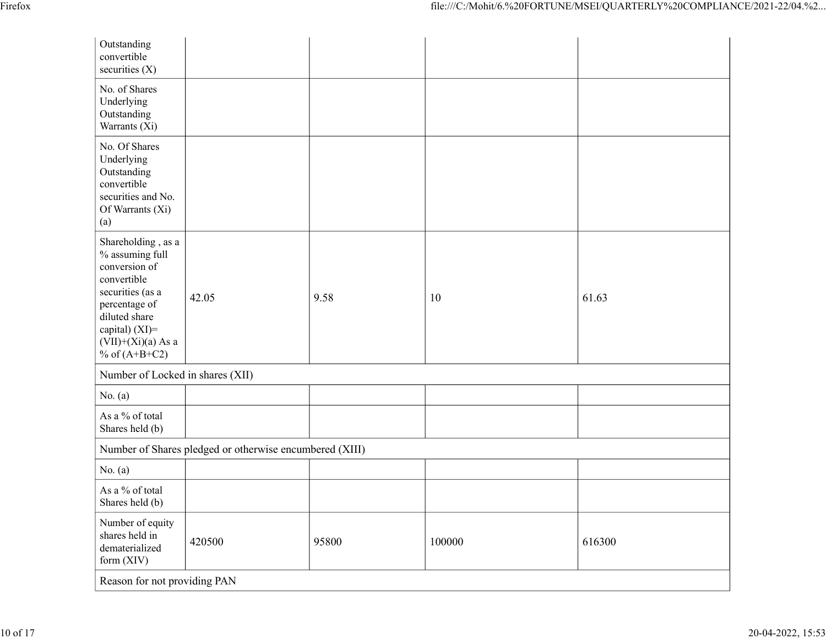|                                                                                                                                                                                           |                                                         |       |        | file:///C:/Mohit/6.%20FORTUNE/MSEI/QUARTERLY%20COMPLIANCE/2021-22/04.%2 |  |
|-------------------------------------------------------------------------------------------------------------------------------------------------------------------------------------------|---------------------------------------------------------|-------|--------|-------------------------------------------------------------------------|--|
| Outstanding<br>convertible<br>securities (X)                                                                                                                                              |                                                         |       |        |                                                                         |  |
| No. of Shares<br>Underlying<br>Outstanding<br>Warrants (Xi)                                                                                                                               |                                                         |       |        |                                                                         |  |
| No. Of Shares<br>Underlying<br>Outstanding<br>convertible<br>securities and No.<br>Of Warrants (Xi)<br>(a)                                                                                |                                                         |       |        |                                                                         |  |
| Shareholding , as a<br>% assuming full<br>conversion of<br>convertible<br>securities (as a<br>percentage of<br>diluted share<br>capital) (XI)=<br>$(VII)+(Xi)(a)$ As a<br>% of $(A+B+C2)$ | 42.05                                                   | 9.58  | 10     | 61.63                                                                   |  |
| Number of Locked in shares (XII)                                                                                                                                                          |                                                         |       |        |                                                                         |  |
| No. $(a)$                                                                                                                                                                                 |                                                         |       |        |                                                                         |  |
| As a % of total<br>Shares held (b)                                                                                                                                                        |                                                         |       |        |                                                                         |  |
|                                                                                                                                                                                           | Number of Shares pledged or otherwise encumbered (XIII) |       |        |                                                                         |  |
| No. $(a)$                                                                                                                                                                                 |                                                         |       |        |                                                                         |  |
| As a % of total<br>Shares held (b)                                                                                                                                                        |                                                         |       |        |                                                                         |  |
| Number of equity<br>shares held in<br>dematerialized<br>form (XIV)                                                                                                                        | 420500                                                  | 95800 | 100000 | 616300                                                                  |  |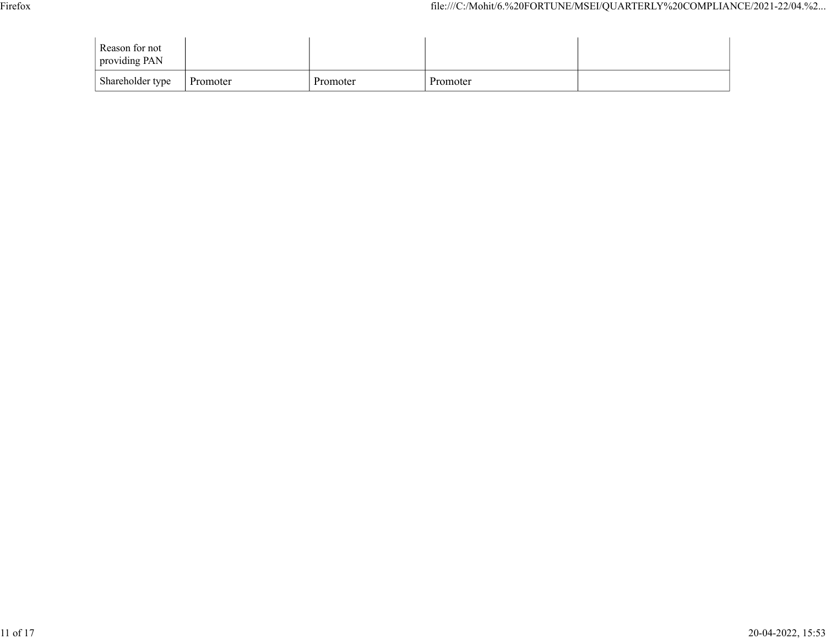|                                 |  | file:///C:/Mohit/6.%20FORTUNE/MSEI/QUARTERLY%20COMPLIANCE/2021-22/04.%2 |  |
|---------------------------------|--|-------------------------------------------------------------------------|--|
| Reason for not<br>providing PAN |  |                                                                         |  |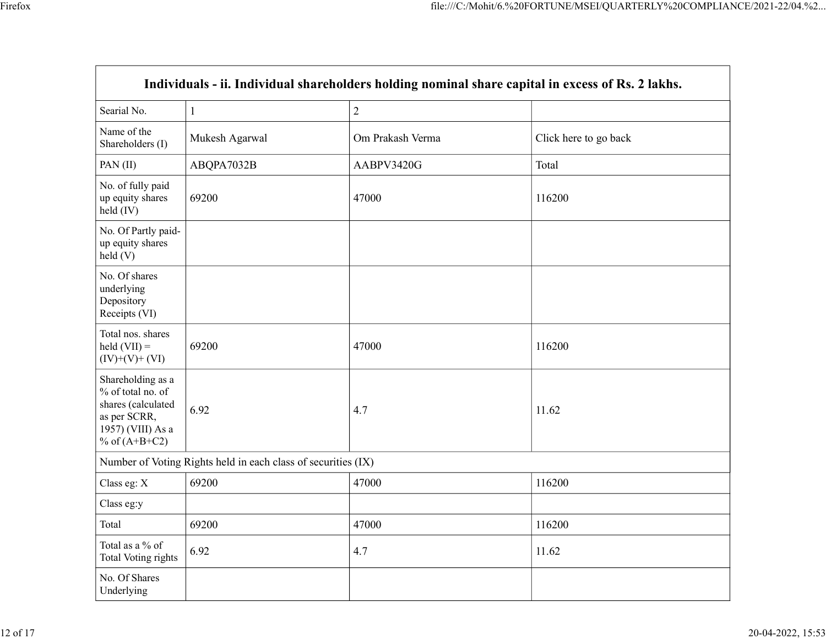|                |                  | file:///C:/Mohit/6.%20FORTUNE/MSEI/QUARTERLY%20COMPLIANCE/2021-22/04.%2 |                                                                                                             |
|----------------|------------------|-------------------------------------------------------------------------|-------------------------------------------------------------------------------------------------------------|
|                |                  |                                                                         |                                                                                                             |
|                |                  |                                                                         |                                                                                                             |
|                |                  |                                                                         |                                                                                                             |
|                |                  |                                                                         |                                                                                                             |
|                |                  |                                                                         |                                                                                                             |
|                |                  |                                                                         |                                                                                                             |
|                | $\sqrt{2}$       |                                                                         |                                                                                                             |
| Mukesh Agarwal | Om Prakash Verma | Click here to go back                                                   |                                                                                                             |
| ABQPA7032B     | AABPV3420G       | Total                                                                   |                                                                                                             |
| 69200          | 47000            | 116200                                                                  |                                                                                                             |
|                |                  |                                                                         |                                                                                                             |
|                |                  |                                                                         |                                                                                                             |
| 69200          | 47000            | 116200                                                                  |                                                                                                             |
| 6.92           | 4.7              | 11.62                                                                   |                                                                                                             |
|                |                  |                                                                         |                                                                                                             |
| 69200          | 47000            | 116200                                                                  |                                                                                                             |
|                |                  |                                                                         |                                                                                                             |
|                |                  |                                                                         |                                                                                                             |
| 6.92           | 4.7              | 11.62                                                                   |                                                                                                             |
|                |                  |                                                                         |                                                                                                             |
|                | 69200            | Number of Voting Rights held in each class of securities (IX)<br>47000  | Individuals - ii. Individual shareholders holding nominal share capital in excess of Rs. 2 lakhs.<br>116200 |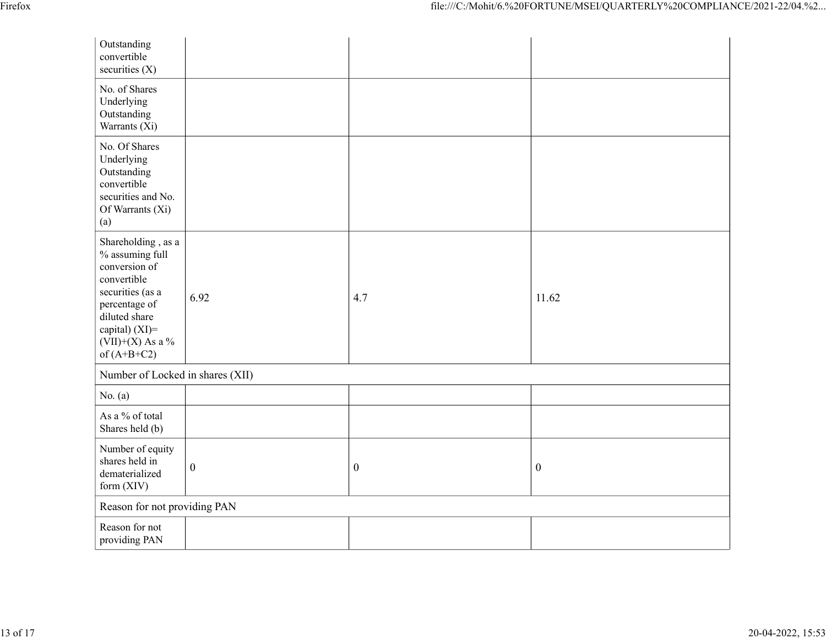| Firefox |                                                                                                                                                                                       |                                  |                  | file:///C:/Mohit/6.%20FORTUNE/MSEI/QUARTERLY%20COMPLIANCE/2021-22/04.%2 |  |  |  |  |
|---------|---------------------------------------------------------------------------------------------------------------------------------------------------------------------------------------|----------------------------------|------------------|-------------------------------------------------------------------------|--|--|--|--|
|         | Outstanding<br>convertible<br>securities (X)                                                                                                                                          |                                  |                  |                                                                         |  |  |  |  |
|         | No. of Shares<br>Underlying<br>Outstanding<br>Warrants (Xi)                                                                                                                           |                                  |                  |                                                                         |  |  |  |  |
|         | No. Of Shares<br>Underlying<br>Outstanding<br>convertible<br>securities and No.<br>Of Warrants (Xi)<br>(a)                                                                            |                                  |                  |                                                                         |  |  |  |  |
|         | Shareholding , as a<br>% assuming full<br>conversion of<br>convertible<br>securities (as a<br>percentage of<br>diluted share<br>capital) (XI)=<br>$(VII)+(X)$ As a %<br>of $(A+B+C2)$ | 6.92                             | 4.7              | 11.62                                                                   |  |  |  |  |
|         |                                                                                                                                                                                       | Number of Locked in shares (XII) |                  |                                                                         |  |  |  |  |
|         | No. $(a)$                                                                                                                                                                             |                                  |                  |                                                                         |  |  |  |  |
|         | As a $\%$ of total<br>Shares held (b)                                                                                                                                                 |                                  |                  |                                                                         |  |  |  |  |
|         | Number of equity<br>shares held in<br>dematerialized<br>form (XIV)                                                                                                                    | $\boldsymbol{0}$                 | $\boldsymbol{0}$ | $\boldsymbol{0}$                                                        |  |  |  |  |
|         | Reason for not providing PAN                                                                                                                                                          |                                  |                  |                                                                         |  |  |  |  |
|         | Reason for not<br>providing PAN                                                                                                                                                       |                                  |                  |                                                                         |  |  |  |  |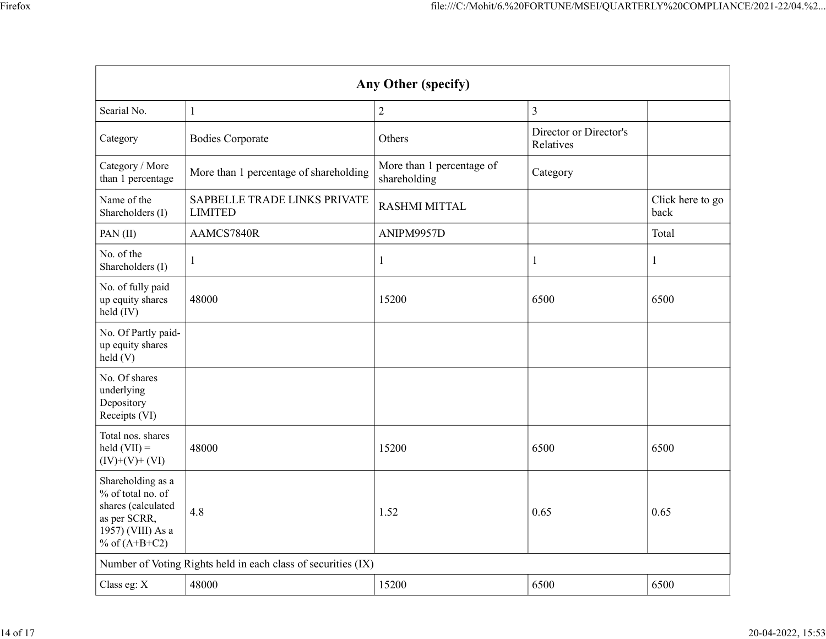|                                                                                                                           |                                                               |                                           | file:///C:/Mohit/6.%20FORTUNE/MSEI/QUARTERLY%20COMPLIANCE/2021-22/04.%2 |                          |  |  |  |
|---------------------------------------------------------------------------------------------------------------------------|---------------------------------------------------------------|-------------------------------------------|-------------------------------------------------------------------------|--------------------------|--|--|--|
|                                                                                                                           |                                                               |                                           |                                                                         |                          |  |  |  |
|                                                                                                                           | Any Other (specify)                                           |                                           |                                                                         |                          |  |  |  |
| Searial No.                                                                                                               | $\perp$                                                       | $\overline{2}$                            | $\vert 3 \vert$                                                         |                          |  |  |  |
| Category                                                                                                                  | <b>Bodies Corporate</b>                                       | Others                                    | Director or Director's<br>Relatives                                     |                          |  |  |  |
| Category / More<br>than 1 percentage                                                                                      | More than 1 percentage of shareholding                        | More than 1 percentage of<br>shareholding | Category                                                                |                          |  |  |  |
| Name of the<br>Shareholders (I)                                                                                           | SAPBELLE TRADE LINKS PRIVATE<br><b>LIMITED</b>                | RASHMI MITTAL                             |                                                                         | Click here to go<br>back |  |  |  |
| PAN(II)                                                                                                                   | AAMCS7840R                                                    | ANIPM9957D                                |                                                                         | Total                    |  |  |  |
| No. of the<br>Shareholders (I)                                                                                            |                                                               |                                           | 1                                                                       |                          |  |  |  |
| No. of fully paid<br>up equity shares<br>$held$ (IV)                                                                      | 48000                                                         | 15200                                     | 6500                                                                    | 6500                     |  |  |  |
| No. Of Partly paid-<br>up equity shares<br>held (V)                                                                       |                                                               |                                           |                                                                         |                          |  |  |  |
| No. Of shares<br>underlying<br>Depository<br>Receipts (VI)                                                                |                                                               |                                           |                                                                         |                          |  |  |  |
| Total nos. shares<br>$\text{held (VII)} =$<br>$(IV)+(V)+(VI)$                                                             | 48000                                                         | 15200                                     | 6500                                                                    | 6500                     |  |  |  |
| Shareholding as a<br>$\%$ of total no. of<br>shares (calculated<br>as per SCRR,<br>$1957)$ (VIII) As a<br>% of $(A+B+C2)$ | 4.8                                                           | 1.52                                      | 0.65                                                                    | 0.65                     |  |  |  |
|                                                                                                                           | Number of Voting Rights held in each class of securities (IX) |                                           |                                                                         |                          |  |  |  |
| Class eg: X                                                                                                               | 48000                                                         | 15200                                     | 6500                                                                    | 6500                     |  |  |  |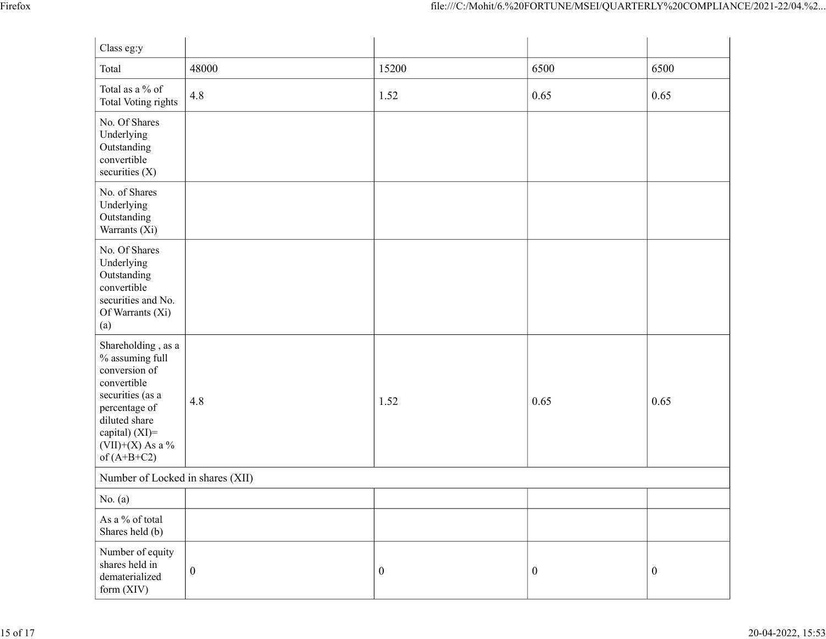|                                                                                                                                                                                          |                                  |                  | file:///C:/Mohit/6.%20FORTUNE/MSEI/QUARTERLY%20COMPLIANCE/2021-22/04.%2 |                  |  |  |
|------------------------------------------------------------------------------------------------------------------------------------------------------------------------------------------|----------------------------------|------------------|-------------------------------------------------------------------------|------------------|--|--|
| Class eg:y                                                                                                                                                                               |                                  |                  |                                                                         |                  |  |  |
| Total                                                                                                                                                                                    | 48000                            | 15200            | 6500                                                                    | 6500             |  |  |
| Total as a $\%$ of<br>Total Voting rights                                                                                                                                                | 4.8                              | 1.52             | 0.65                                                                    | 0.65             |  |  |
| No. Of Shares<br>Underlying<br>Outstanding<br>convertible<br>securities $(X)$                                                                                                            |                                  |                  |                                                                         |                  |  |  |
| No. of Shares<br>Underlying<br>Outstanding<br>Warrants $(X_i)$                                                                                                                           |                                  |                  |                                                                         |                  |  |  |
| No. Of Shares<br>Underlying<br>Outstanding<br>convertible<br>securities and No.<br>Of Warrants (Xi)<br>(a)                                                                               |                                  |                  |                                                                         |                  |  |  |
| Shareholding, as a<br>$\%$ assuming full<br>conversion of<br>convertible<br>securities (as a<br>percentage of<br>diluted share<br>capital) (XI)=<br>(VII)+(X) As a $\%$<br>of $(A+B+C2)$ | 4.8                              | 1.52             | $\vert 0.65 \vert$                                                      | 0.65             |  |  |
|                                                                                                                                                                                          | Number of Locked in shares (XII) |                  |                                                                         |                  |  |  |
| No. $(a)$<br>As a $\%$ of total                                                                                                                                                          |                                  |                  |                                                                         |                  |  |  |
| Shares held (b)                                                                                                                                                                          |                                  |                  |                                                                         |                  |  |  |
| Number of equity<br>shares held in<br>dematerialized<br>form (XIV)                                                                                                                       | $\boldsymbol{0}$                 | $\boldsymbol{0}$ | $\boldsymbol{0}$                                                        | $\boldsymbol{0}$ |  |  |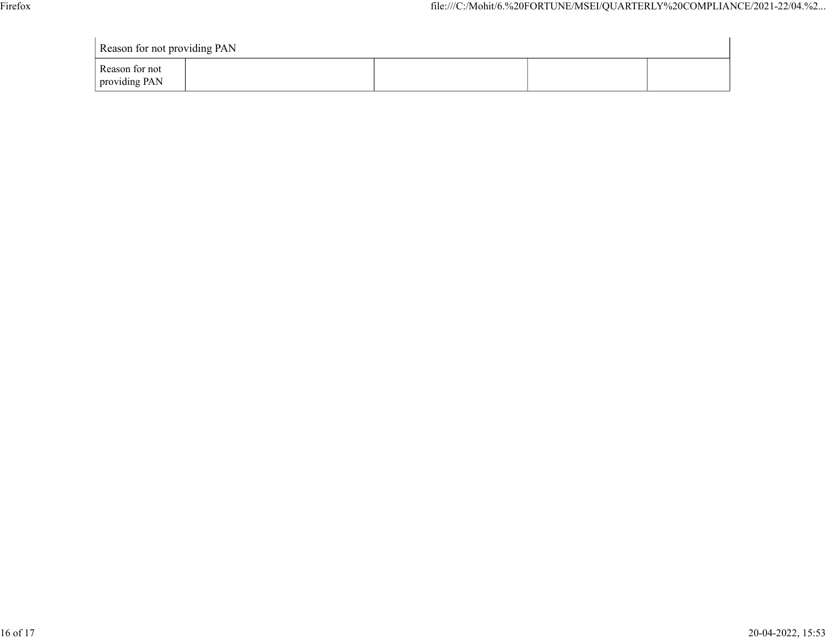| Reason for not<br>providing PAN |                              |  |  |                                                                         |
|---------------------------------|------------------------------|--|--|-------------------------------------------------------------------------|
|                                 | Reason for not providing PAN |  |  | file:///C:/Mohit/6.%20FORTUNE/MSEI/QUARTERLY%20COMPLIANCE/2021-22/04.%2 |